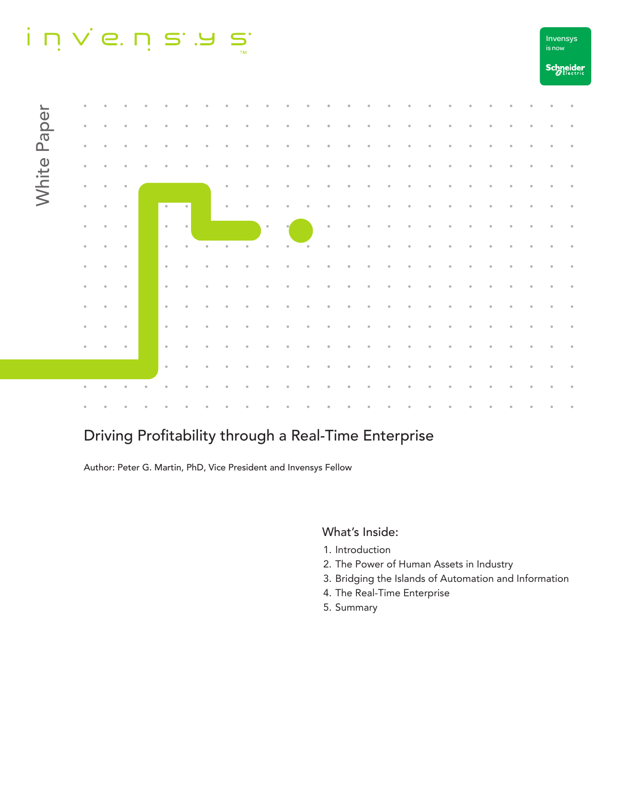#### $i$  n  $\vee$  e. n s . a  $\sum_{TM}$



# Driving Profitability through a Real-Time Enterprise

Author: Peter G. Martin, PhD, Vice President and Invensys Fellow

#### What's Inside:

- 1. Introduction
- 2. The Power of Human Assets in Industry
- 3. Bridging the Islands of Automation and Information

is now Invensys

- 4. The Real-Time Enterprise
- 5. Summary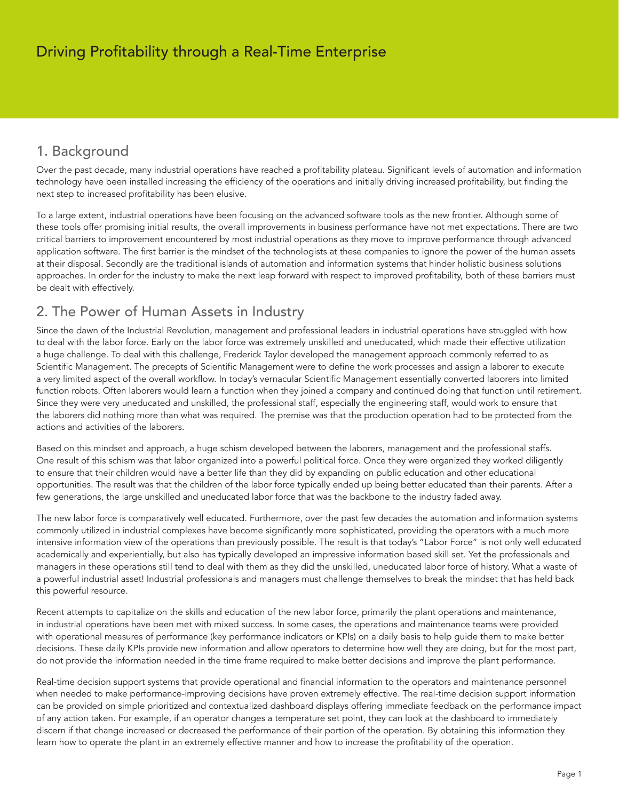## 1. Background

Over the past decade, many industrial operations have reached a profitability plateau. Significant levels of automation and information technology have been installed increasing the efficiency of the operations and initially driving increased profitability, but finding the next step to increased profitability has been elusive.

To a large extent, industrial operations have been focusing on the advanced software tools as the new frontier. Although some of these tools offer promising initial results, the overall improvements in business performance have not met expectations. There are two critical barriers to improvement encountered by most industrial operations as they move to improve performance through advanced application software. The first barrier is the mindset of the technologists at these companies to ignore the power of the human assets at their disposal. Secondly are the traditional islands of automation and information systems that hinder holistic business solutions approaches. In order for the industry to make the next leap forward with respect to improved profitability, both of these barriers must be dealt with effectively.

### 2. The Power of Human Assets in Industry

Since the dawn of the Industrial Revolution, management and professional leaders in industrial operations have struggled with how to deal with the labor force. Early on the labor force was extremely unskilled and uneducated, which made their effective utilization a huge challenge. To deal with this challenge, Frederick Taylor developed the management approach commonly referred to as Scientific Management. The precepts of Scientific Management were to define the work processes and assign a laborer to execute a very limited aspect of the overall workflow. In today's vernacular Scientific Management essentially converted laborers into limited function robots. Often laborers would learn a function when they joined a company and continued doing that function until retirement. Since they were very uneducated and unskilled, the professional staff, especially the engineering staff, would work to ensure that the laborers did nothing more than what was required. The premise was that the production operation had to be protected from the actions and activities of the laborers.

Based on this mindset and approach, a huge schism developed between the laborers, management and the professional staffs. One result of this schism was that labor organized into a powerful political force. Once they were organized they worked diligently to ensure that their children would have a better life than they did by expanding on public education and other educational opportunities. The result was that the children of the labor force typically ended up being better educated than their parents. After a few generations, the large unskilled and uneducated labor force that was the backbone to the industry faded away.

The new labor force is comparatively well educated. Furthermore, over the past few decades the automation and information systems commonly utilized in industrial complexes have become significantly more sophisticated, providing the operators with a much more intensive information view of the operations than previously possible. The result is that today's "Labor Force" is not only well educated academically and experientially, but also has typically developed an impressive information based skill set. Yet the professionals and managers in these operations still tend to deal with them as they did the unskilled, uneducated labor force of history. What a waste of a powerful industrial asset! Industrial professionals and managers must challenge themselves to break the mindset that has held back this powerful resource.

Recent attempts to capitalize on the skills and education of the new labor force, primarily the plant operations and maintenance, in industrial operations have been met with mixed success. In some cases, the operations and maintenance teams were provided with operational measures of performance (key performance indicators or KPIs) on a daily basis to help guide them to make better decisions. These daily KPIs provide new information and allow operators to determine how well they are doing, but for the most part, do not provide the information needed in the time frame required to make better decisions and improve the plant performance.

Real-time decision support systems that provide operational and financial information to the operators and maintenance personnel when needed to make performance-improving decisions have proven extremely effective. The real-time decision support information can be provided on simple prioritized and contextualized dashboard displays offering immediate feedback on the performance impact of any action taken. For example, if an operator changes a temperature set point, they can look at the dashboard to immediately discern if that change increased or decreased the performance of their portion of the operation. By obtaining this information they learn how to operate the plant in an extremely effective manner and how to increase the profitability of the operation.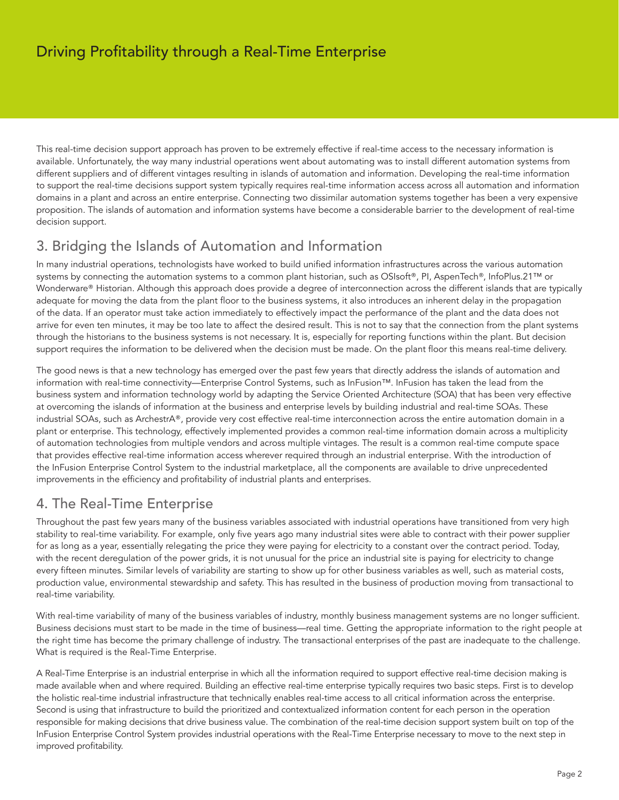This real-time decision support approach has proven to be extremely effective if real-time access to the necessary information is available. Unfortunately, the way many industrial operations went about automating was to install different automation systems from different suppliers and of different vintages resulting in islands of automation and information. Developing the real-time information to support the real-time decisions support system typically requires real-time information access across all automation and information domains in a plant and across an entire enterprise. Connecting two dissimilar automation systems together has been a very expensive proposition. The islands of automation and information systems have become a considerable barrier to the development of real-time decision support.

## 3. Bridging the Islands of Automation and Information

In many industrial operations, technologists have worked to build unified information infrastructures across the various automation systems by connecting the automation systems to a common plant historian, such as OSIsoft®, PI, AspenTech®, InfoPlus.21™ or Wonderware® Historian. Although this approach does provide a degree of interconnection across the different islands that are typically adequate for moving the data from the plant floor to the business systems, it also introduces an inherent delay in the propagation of the data. If an operator must take action immediately to effectively impact the performance of the plant and the data does not arrive for even ten minutes, it may be too late to affect the desired result. This is not to say that the connection from the plant systems through the historians to the business systems is not necessary. It is, especially for reporting functions within the plant. But decision support requires the information to be delivered when the decision must be made. On the plant floor this means real-time delivery.

The good news is that a new technology has emerged over the past few years that directly address the islands of automation and information with real-time connectivity—Enterprise Control Systems, such as InFusion™. InFusion has taken the lead from the business system and information technology world by adapting the Service Oriented Architecture (SOA) that has been very effective at overcoming the islands of information at the business and enterprise levels by building industrial and real-time SOAs. These industrial SOAs, such as ArchestrA®, provide very cost effective real-time interconnection across the entire automation domain in a plant or enterprise. This technology, effectively implemented provides a common real-time information domain across a multiplicity of automation technologies from multiple vendors and across multiple vintages. The result is a common real-time compute space that provides effective real-time information access wherever required through an industrial enterprise. With the introduction of the InFusion Enterprise Control System to the industrial marketplace, all the components are available to drive unprecedented improvements in the efficiency and profitability of industrial plants and enterprises.

### 4. The Real-Time Enterprise

Throughout the past few years many of the business variables associated with industrial operations have transitioned from very high stability to real-time variability. For example, only five years ago many industrial sites were able to contract with their power supplier for as long as a year, essentially relegating the price they were paying for electricity to a constant over the contract period. Today, with the recent deregulation of the power grids, it is not unusual for the price an industrial site is paying for electricity to change every fifteen minutes. Similar levels of variability are starting to show up for other business variables as well, such as material costs, production value, environmental stewardship and safety. This has resulted in the business of production moving from transactional to real-time variability.

With real-time variability of many of the business variables of industry, monthly business management systems are no longer sufficient. Business decisions must start to be made in the time of business—real time. Getting the appropriate information to the right people at the right time has become the primary challenge of industry. The transactional enterprises of the past are inadequate to the challenge. What is required is the Real-Time Enterprise.

A Real-Time Enterprise is an industrial enterprise in which all the information required to support effective real-time decision making is made available when and where required. Building an effective real-time enterprise typically requires two basic steps. First is to develop the holistic real-time industrial infrastructure that technically enables real-time access to all critical information across the enterprise. Second is using that infrastructure to build the prioritized and contextualized information content for each person in the operation responsible for making decisions that drive business value. The combination of the real-time decision support system built on top of the InFusion Enterprise Control System provides industrial operations with the Real-Time Enterprise necessary to move to the next step in improved profitability.